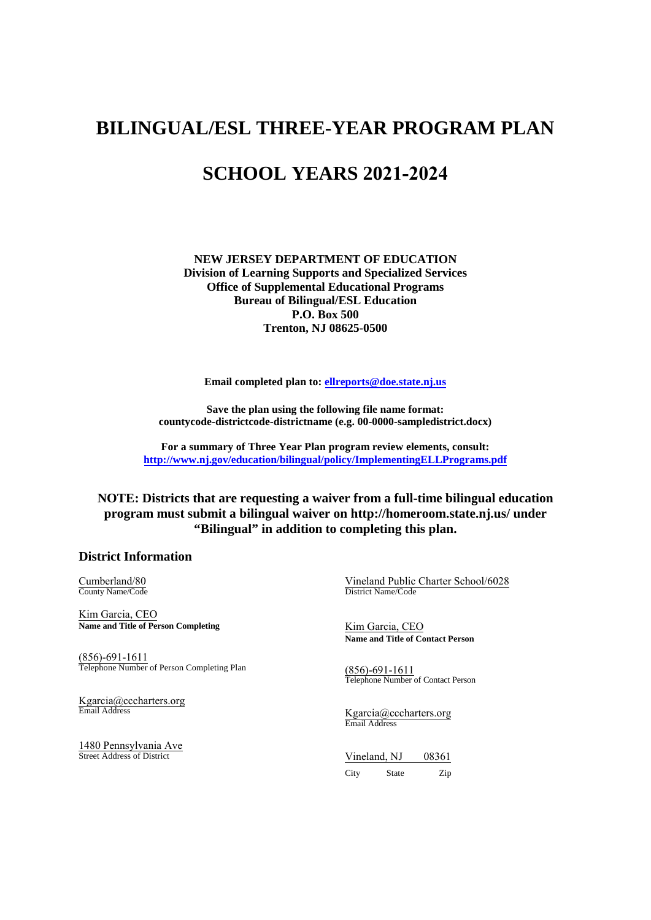# **BILINGUAL/ESL THREE-YEAR PROGRAM PLAN SCHOOL YEARS 2021-2024**

**NEW JERSEY DEPARTMENT OF EDUCATION Division of Learning Supports and Specialized Services Office of Supplemental Educational Programs Bureau of Bilingual/ESL Education P.O. Box 500 Trenton, NJ 08625-0500** 

**Email completed plan to: [ellreports@doe.state.nj.us](mailto:ellreports@doe.state.nj.us)**

**Save the plan using the following file name format: countycode-districtcode-districtname (e.g. 00-0000-sampledistrict.docx)**

**For a summary of Three Year Plan program review elements, consult: <http://www.nj.gov/education/bilingual/policy/ImplementingELLPrograms.pdf>**

#### **NOTE: Districts that are requesting a waiver from a full-time bilingual education program must submit a bilingual waiver on http://homeroom.state.nj.us/ under "Bilingual" in addition to completing this plan.**

#### **District Information**

Cumberland/80 County Name/Code

Kim Garcia, CEO **Name and Title of Person Completing** 

(856)-691-1611 Telephone Number of Person Completing Plan

Kgarcia@cccharters.org Email Address

1480 Pennsylvania Ave Street Address of District

Vineland Public Charter School/6028 District Name/Code

Kim Garcia, CEO **Name and Title of Contact Person**

(856)-691-1611 Telephone Number of Contact Person

Kgarcia@cccharters.org Email Address

Vineland, NJ 08361 City State Zip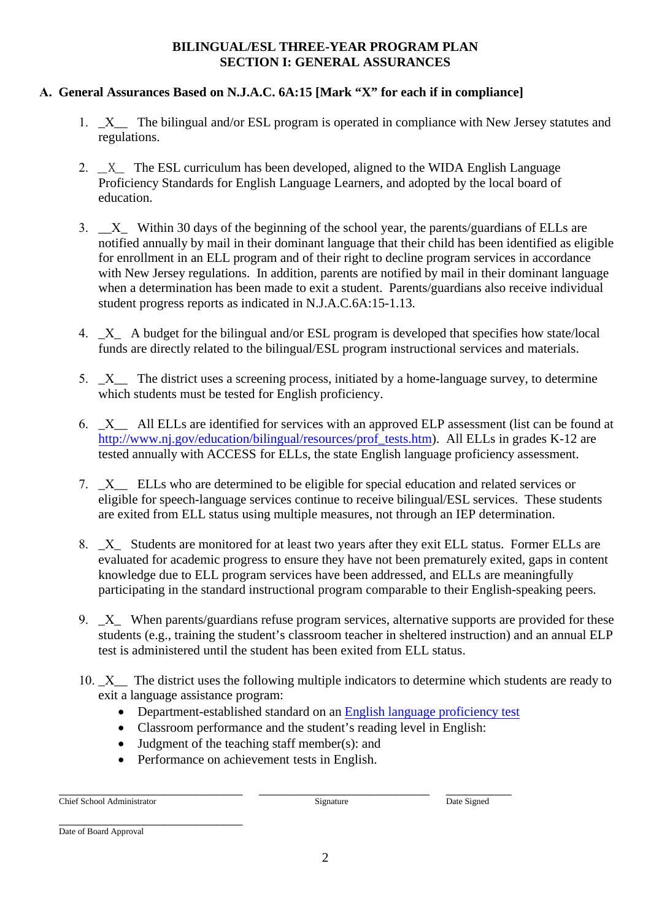#### **BILINGUAL/ESL THREE-YEAR PROGRAM PLAN SECTION I: GENERAL ASSURANCES**

# **A. General Assurances Based on N.J.A.C. 6A:15 [Mark "X" for each if in compliance]**

- 1. \_X\_\_ The bilingual and/or ESL program is operated in compliance with New Jersey statutes and regulations.
- 2. *X* The ESL curriculum has been developed, aligned to the WIDA English Language Proficiency Standards for English Language Learners, and adopted by the local board of education.
- 3. \_\_X\_ Within 30 days of the beginning of the school year, the parents/guardians of ELLs are notified annually by mail in their dominant language that their child has been identified as eligible for enrollment in an ELL program and of their right to decline program services in accordance with New Jersey regulations. In addition, parents are notified by mail in their dominant language when a determination has been made to exit a student. Parents/guardians also receive individual student progress reports as indicated in N.J.A.C.6A:15-1.13.
- 4. X A budget for the bilingual and/or ESL program is developed that specifies how state/local funds are directly related to the bilingual/ESL program instructional services and materials.
- 5. X The district uses a screening process, initiated by a home-language survey, to determine which students must be tested for English proficiency.
- 6. \_X\_\_ All ELLs are identified for services with an approved ELP assessment (list can be found at [http://www.nj.gov/education/bilingual/resources/prof\\_tests.htm\)](http://www.nj.gov/education/bilingual/resources/prof_tests.htm). All ELLs in grades K-12 are tested annually with ACCESS for ELLs, the state English language proficiency assessment.
- 7. \_X\_\_ ELLs who are determined to be eligible for special education and related services or eligible for speech-language services continue to receive bilingual/ESL services. These students are exited from ELL status using multiple measures, not through an IEP determination.
- 8. X Students are monitored for at least two years after they exit ELL status. Former ELLs are evaluated for academic progress to ensure they have not been prematurely exited, gaps in content knowledge due to ELL program services have been addressed, and ELLs are meaningfully participating in the standard instructional program comparable to their English-speaking peers.
- 9.  $X$  When parents/guardians refuse program services, alternative supports are provided for these students (e.g., training the student's classroom teacher in sheltered instruction) and an annual ELP test is administered until the student has been exited from ELL status.
- 10.  $X$  The district uses the following multiple indicators to determine which students are ready to exit a language assistance program:
	- Department-established standard on an [English language proficiency test](http://www.nj.gov/education/bilingual/resources/prof_tests.htm)
	- Classroom performance and the student's reading level in English:
	- Judgment of the teaching staff member(s): and
	- Performance on achievement tests in English.

\_\_\_\_\_\_\_\_\_\_\_\_\_\_\_\_\_\_\_\_\_\_\_\_\_\_\_\_ \_\_\_\_\_\_\_\_\_\_\_\_\_\_\_\_\_\_\_\_\_\_\_\_\_\_ \_\_\_\_\_\_\_\_\_\_ **Chief School Administrator** Signature Date Signed

\_\_\_\_\_\_\_\_\_\_\_\_\_\_\_\_\_\_\_\_\_\_\_\_\_\_\_\_ Date of Board Approval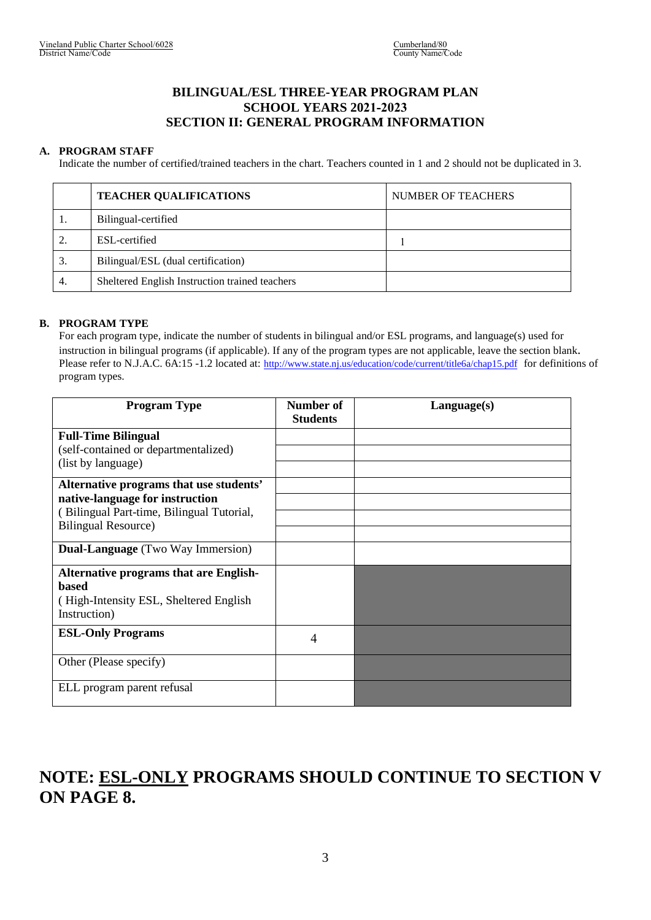## **BILINGUAL/ESL THREE-YEAR PROGRAM PLAN SCHOOL YEARS 2021-2023 SECTION II: GENERAL PROGRAM INFORMATION**

#### **A. PROGRAM STAFF**

Indicate the number of certified/trained teachers in the chart. Teachers counted in 1 and 2 should not be duplicated in 3.

|    | <b>TEACHER QUALIFICATIONS</b>                  | NUMBER OF TEACHERS |  |  |
|----|------------------------------------------------|--------------------|--|--|
|    | Bilingual-certified                            |                    |  |  |
|    | ESL-certified                                  |                    |  |  |
| 3. | Bilingual/ESL (dual certification)             |                    |  |  |
| 4. | Sheltered English Instruction trained teachers |                    |  |  |

#### **B. PROGRAM TYPE**

For each program type, indicate the number of students in bilingual and/or ESL programs, and language(s) used for instruction in bilingual programs (if applicable). If any of the program types are not applicable, leave the section blank. Please refer to N.J.A.C. 6A:15 -1.2 located at: <http://www.state.nj.us/education/code/current/title6a/chap15.pdf>for definitions of program types.

| <b>Program Type</b>                                        | Number of<br><b>Students</b> | Language(s) |
|------------------------------------------------------------|------------------------------|-------------|
| <b>Full-Time Bilingual</b>                                 |                              |             |
| (self-contained or departmentalized)<br>(list by language) |                              |             |
| Alternative programs that use students'                    |                              |             |
| native-language for instruction                            |                              |             |
| (Bilingual Part-time, Bilingual Tutorial,                  |                              |             |
| <b>Bilingual Resource</b> )                                |                              |             |
| <b>Dual-Language</b> (Two Way Immersion)                   |                              |             |
| <b>Alternative programs that are English-</b>              |                              |             |
| based<br>(High-Intensity ESL, Sheltered English            |                              |             |
| Instruction)                                               |                              |             |
| <b>ESL-Only Programs</b>                                   | 4                            |             |
| Other (Please specify)                                     |                              |             |
| ELL program parent refusal                                 |                              |             |

# **NOTE: ESL-ONLY PROGRAMS SHOULD CONTINUE TO SECTION V ON PAGE 8.**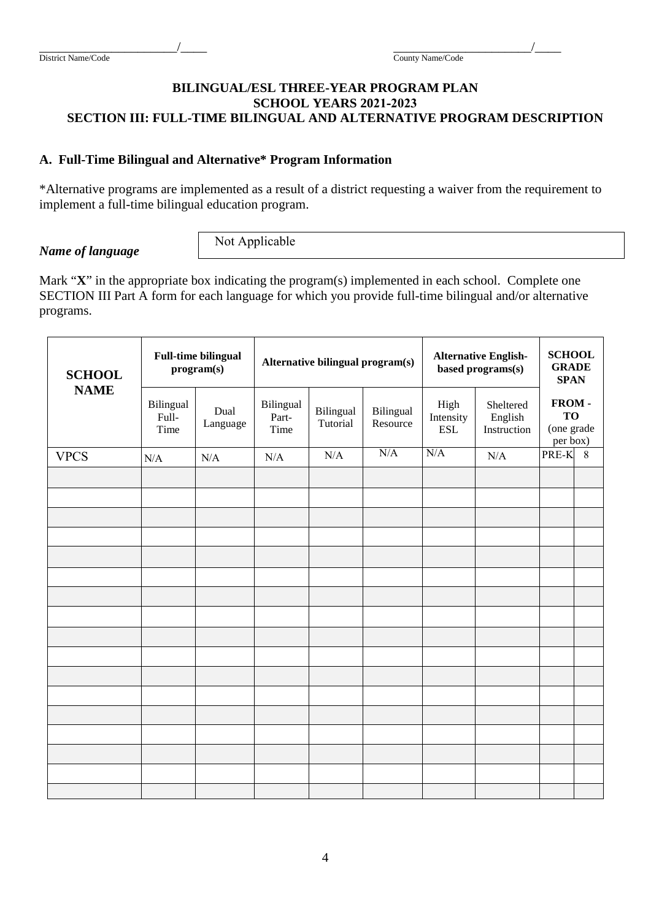#### **BILINGUAL/ESL THREE-YEAR PROGRAM PLAN SCHOOL YEARS 2021-2023 SECTION III: FULL-TIME BILINGUAL AND ALTERNATIVE PROGRAM DESCRIPTION**

#### **A. Full-Time Bilingual and Alternative\* Program Information**

\*Alternative programs are implemented as a result of a district requesting a waiver from the requirement to implement a full-time bilingual education program.

#### *Name of language*

Not Applicable

Mark "X" in the appropriate box indicating the program(s) implemented in each school. Complete one SECTION III Part A form for each language for which you provide full-time bilingual and/or alternative programs.

| <b>SCHOOL</b> |                            | <b>Full-time bilingual</b><br>program(s) | Alternative bilingual program(s) |                       |                       | <b>Alternative English-</b><br>based programs(s) |                                     | <b>SCHOOL</b><br><b>GRADE</b><br><b>SPAN</b> |  |
|---------------|----------------------------|------------------------------------------|----------------------------------|-----------------------|-----------------------|--------------------------------------------------|-------------------------------------|----------------------------------------------|--|
| <b>NAME</b>   | Bilingual<br>Full-<br>Time | Dual<br>Language                         | Bilingual<br>Part-<br>Time       | Bilingual<br>Tutorial | Bilingual<br>Resource | High<br>Intensity<br><b>ESL</b>                  | Sheltered<br>English<br>Instruction | FROM-<br><b>TO</b><br>(one grade<br>per box) |  |
| <b>VPCS</b>   | N/A                        | N/A                                      | N/A                              | N/A                   | N/A                   | N/A                                              | N/A                                 | PRE-K <sub>8</sub>                           |  |
|               |                            |                                          |                                  |                       |                       |                                                  |                                     |                                              |  |
|               |                            |                                          |                                  |                       |                       |                                                  |                                     |                                              |  |
|               |                            |                                          |                                  |                       |                       |                                                  |                                     |                                              |  |
|               |                            |                                          |                                  |                       |                       |                                                  |                                     |                                              |  |
|               |                            |                                          |                                  |                       |                       |                                                  |                                     |                                              |  |
|               |                            |                                          |                                  |                       |                       |                                                  |                                     |                                              |  |
|               |                            |                                          |                                  |                       |                       |                                                  |                                     |                                              |  |
|               |                            |                                          |                                  |                       |                       |                                                  |                                     |                                              |  |
|               |                            |                                          |                                  |                       |                       |                                                  |                                     |                                              |  |
|               |                            |                                          |                                  |                       |                       |                                                  |                                     |                                              |  |
|               |                            |                                          |                                  |                       |                       |                                                  |                                     |                                              |  |
|               |                            |                                          |                                  |                       |                       |                                                  |                                     |                                              |  |
|               |                            |                                          |                                  |                       |                       |                                                  |                                     |                                              |  |
|               |                            |                                          |                                  |                       |                       |                                                  |                                     |                                              |  |
|               |                            |                                          |                                  |                       |                       |                                                  |                                     |                                              |  |
|               |                            |                                          |                                  |                       |                       |                                                  |                                     |                                              |  |
|               |                            |                                          |                                  |                       |                       |                                                  |                                     |                                              |  |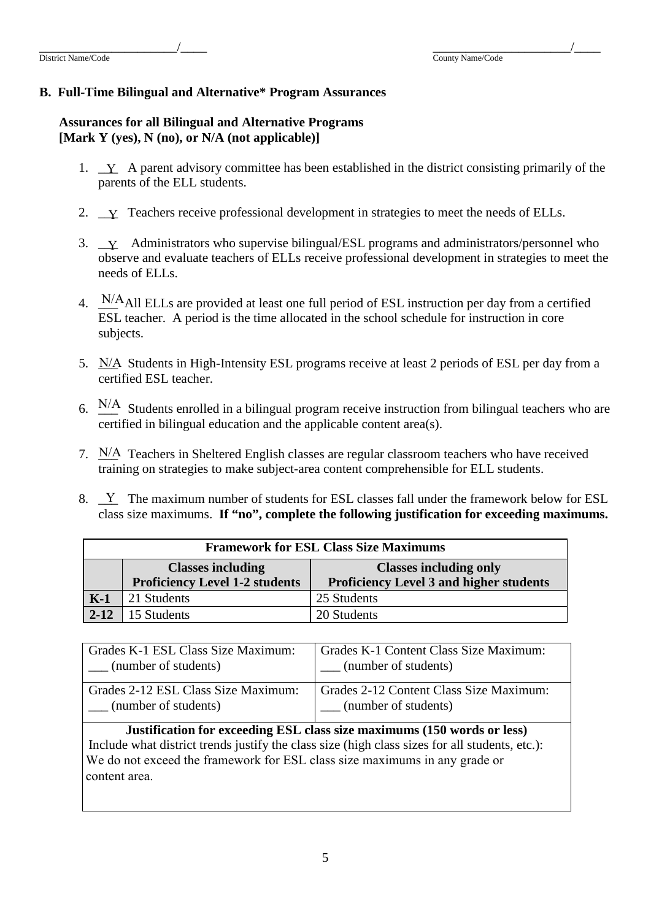#### **B. Full-Time Bilingual and Alternative\* Program Assurances**

#### **Assurances for all Bilingual and Alternative Programs [Mark Y (yes), N (no), or N/A (not applicable)]**

- 1.  $\perp$  A parent advisory committee has been established in the district consisting primarily of the parents of the ELL students.
- 2.  $\perp$  Teachers receive professional development in strategies to meet the needs of ELLs.
- 3.  $\perp$  Administrators who supervise bilingual/ESL programs and administrators/personnel who observe and evaluate teachers of ELLs receive professional development in strategies to meet the needs of ELLs.
- 4.  $\frac{N}{A}$ All ELLs are provided at least one full period of ESL instruction per day from a certified ESL teacher. A period is the time allocated in the school schedule for instruction in core subjects.
- 5. N/A Students in High-Intensity ESL programs receive at least 2 periods of ESL per day from a certified ESL teacher.
- 6.  $\frac{N}{A}$  Students enrolled in a bilingual program receive instruction from bilingual teachers who are certified in bilingual education and the applicable content area(s).
- 7.  $N/A$  Teachers in Sheltered English classes are regular classroom teachers who have received training on strategies to make subject-area content comprehensible for ELL students.
- 8.  $\frac{Y}{X}$  The maximum number of students for ESL classes fall under the framework below for ESL class size maximums. **If "no", complete the following justification for exceeding maximums.**

| <b>Framework for ESL Class Size Maximums</b> |                                                                                                                                                      |             |  |  |
|----------------------------------------------|------------------------------------------------------------------------------------------------------------------------------------------------------|-------------|--|--|
|                                              | <b>Classes including</b><br><b>Classes including only</b><br><b>Proficiency Level 1-2 students</b><br><b>Proficiency Level 3 and higher students</b> |             |  |  |
| $K-1$                                        | 21 Students                                                                                                                                          | 25 Students |  |  |
| $2 - 12$                                     | 15 Students                                                                                                                                          | 20 Students |  |  |

| Grades K-1 ESL Class Size Maximum:  | Grades K-1 Content Class Size Maximum:  |
|-------------------------------------|-----------------------------------------|
| (number of students)                | (number of students)                    |
| Grades 2-12 ESL Class Size Maximum: | Grades 2-12 Content Class Size Maximum: |
| (number of students)                | (number of students)                    |

**Justification for exceeding ESL class size maximums (150 words or less)** Include what district trends justify the class size (high class sizes for all students, etc.): We do not exceed the framework for ESL class size maximums in any grade or content area.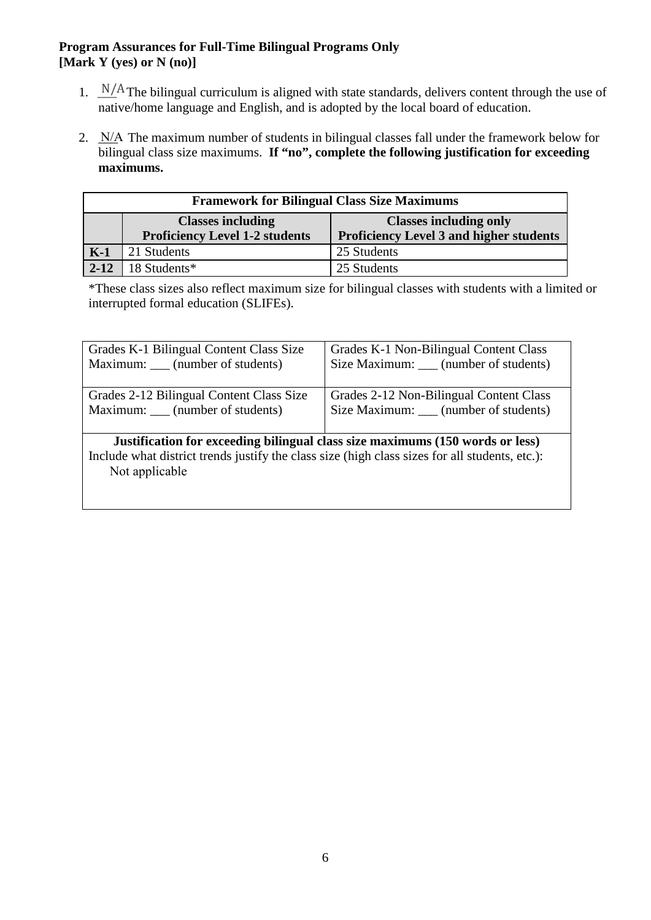#### **Program Assurances for Full-Time Bilingual Programs Only [Mark Y (yes) or N (no)]**

- 1. *N/A* The bilingual curriculum is aligned with state standards, delivers content through the use of native/home language and English, and is adopted by the local board of education.
- 2.  $N/A$  The maximum number of students in bilingual classes fall under the framework below for bilingual class size maximums. **If "no", complete the following justification for exceeding maximums.**

| <b>Framework for Bilingual Class Size Maximums</b> |                                                           |                                                |  |  |
|----------------------------------------------------|-----------------------------------------------------------|------------------------------------------------|--|--|
|                                                    | <b>Classes including only</b><br><b>Classes including</b> |                                                |  |  |
|                                                    | <b>Proficiency Level 1-2 students</b>                     | <b>Proficiency Level 3 and higher students</b> |  |  |
| $K-1$                                              | 21 Students                                               | 25 Students                                    |  |  |
| $2 - 12$                                           | 18 Students*                                              | 25 Students                                    |  |  |

\*These class sizes also reflect maximum size for bilingual classes with students with a limited or interrupted formal education (SLIFEs).

| Grades K-1 Bilingual Content Class Size                                                                          | Grades K-1 Non-Bilingual Content Class                                        |
|------------------------------------------------------------------------------------------------------------------|-------------------------------------------------------------------------------|
| Maximum: ____ (number of students)                                                                               | Size Maximum: ____ (number of students)                                       |
| Grades 2-12 Bilingual Content Class Size                                                                         | Grades 2-12 Non-Bilingual Content Class                                       |
| Maximum: ____ (number of students)                                                                               | Size Maximum: ____ (number of students)                                       |
| Include what district trends justify the class size (high class sizes for all students, etc.):<br>Not applicable | Justification for exceeding bilingual class size maximums (150 words or less) |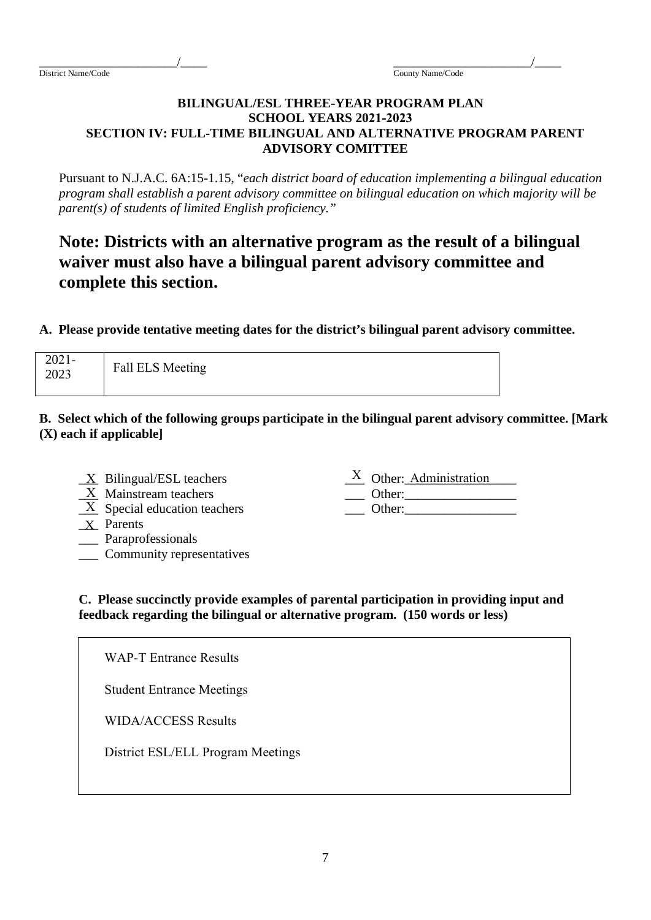## **BILINGUAL/ESL THREE-YEAR PROGRAM PLAN SCHOOL YEARS 2021-2023 SECTION IV: FULL-TIME BILINGUAL AND ALTERNATIVE PROGRAM PARENT ADVISORY COMITTEE**

Pursuant to N.J.A.C. 6A:15-1.15, "*each district board of education implementing a bilingual education program shall establish a parent advisory committee on bilingual education on which majority will be parent(s) of students of limited English proficiency."* 

# **Note: Districts with an alternative program as the result of a bilingual waiver must also have a bilingual parent advisory committee and complete this section.**

#### **A. Please provide tentative meeting dates for the district's bilingual parent advisory committee.**

| $2021 -$<br>2023 | Fall ELS Meeting |  |
|------------------|------------------|--|
|                  |                  |  |

# **B. Select which of the following groups participate in the bilingual parent advisory committee. [Mark (X) each if applicable]**

- $\underline{X}$  Bilingual/ESL teachers
- $\underline{X}$  Mainstream teachers
- $\underline{X}$  Special education teachers
- $\underline{\mathbf{X}}$  Parents
- \_\_\_ Paraprofessionals
- \_\_\_ Community representatives
- $X$  Other: Administration
- \_\_\_ Other:\_\_\_\_\_\_\_\_\_\_\_\_\_\_\_\_\_ Other:
- 

# **C. Please succinctly provide examples of parental participation in providing input and feedback regarding the bilingual or alternative program. (150 words or less)**

WAP-T Entrance Results

Student Entrance Meetings

WIDA/ACCESS Results

District ESL/ELL Program Meetings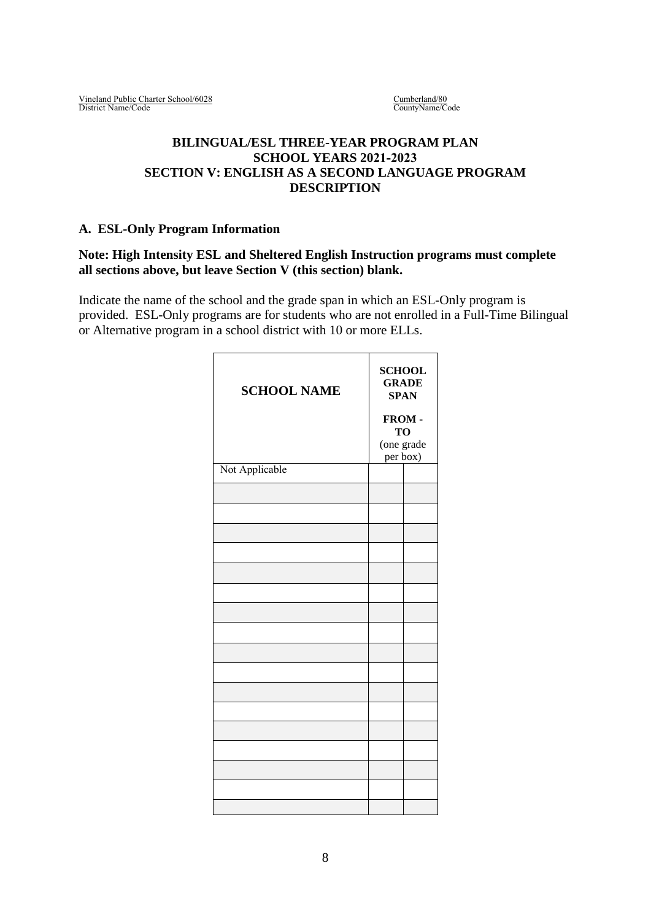Cumberland/80 CountyName/Code

## **BILINGUAL/ESL THREE-YEAR PROGRAM PLAN SCHOOL YEARS 2021-2023 SECTION V: ENGLISH AS A SECOND LANGUAGE PROGRAM DESCRIPTION**

## **A. ESL-Only Program Information**

#### **Note: High Intensity ESL and Sheltered English Instruction programs must complete all sections above, but leave Section V (this section) blank.**

Indicate the name of the school and the grade span in which an ESL-Only program is provided. ESL-Only programs are for students who are not enrolled in a Full-Time Bilingual or Alternative program in a school district with 10 or more ELLs.

| <b>SCHOOL NAME</b> | <b>SCHOOL</b><br><b>GRADE</b><br><b>SPAN</b> |  |
|--------------------|----------------------------------------------|--|
|                    | FROM-<br><b>TO</b><br>(one grade<br>per box) |  |
|                    |                                              |  |
| Not Applicable     |                                              |  |
|                    |                                              |  |
|                    |                                              |  |
|                    |                                              |  |
|                    |                                              |  |
|                    |                                              |  |
|                    |                                              |  |
|                    |                                              |  |
|                    |                                              |  |
|                    |                                              |  |
|                    |                                              |  |
|                    |                                              |  |
|                    |                                              |  |
|                    |                                              |  |
|                    |                                              |  |
|                    |                                              |  |
|                    |                                              |  |